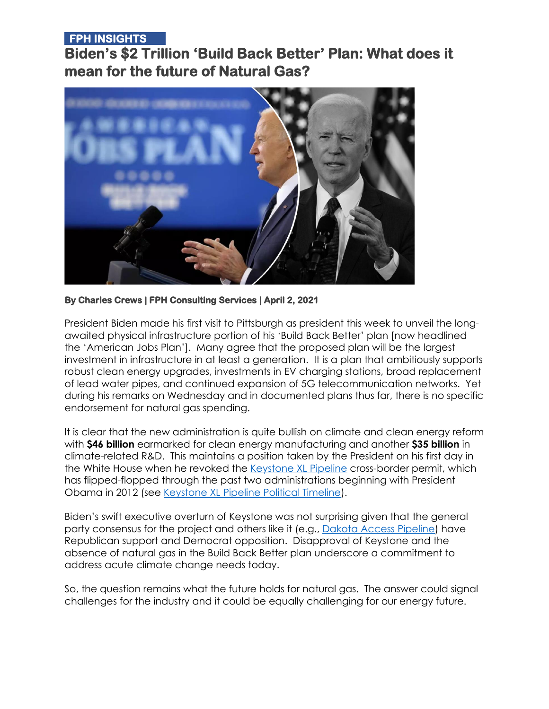#### **FPH INSIGHTS**

**Biden's \$2 Trillion 'Build Back Better' Plan: What does it mean for the future of Natural Gas?** 



**By Charles Crews | FPH Consulting Services | April 2, 2021** 

President Biden made his first visit to Pittsburgh as president this week to unveil the longawaited physical infrastructure portion of his 'Build Back Better' plan [now headlined the 'American Jobs Plan']. Many agree that the proposed plan will be the largest investment in infrastructure in at least a generation. It is a plan that ambitiously supports robust clean energy upgrades, investments in EV charging stations, broad replacement of lead water pipes, and continued expansion of 5G telecommunication networks. Yet during his remarks on Wednesday and in documented plans thus far, there is no specific endorsement for natural gas spending.

It is clear that the new administration is quite bullish on climate and clean energy reform with **\$46 billion** earmarked for clean energy manufacturing and another **\$35 billion** in climate-related R&D. This maintains a position taken by the President on his first day in the White House when he revoked the [Keystone XL Pipeline](https://en.wikipedia.org/wiki/Keystone_Pipeline) cross-border permit, which has flipped-flopped through the past two administrations beginning with President Obama in 2012 (see [Keystone XL Pipeline Political Timeline\)](https://ballotpedia.org/Keystone_XL_Pipeline_political_timeline).

Biden's swift executive overturn of Keystone was not surprising given that the general party consensus for the project and others like it (e.g., [Dakota Access Pipeline\)](https://en.wikipedia.org/wiki/Dakota_Access_Pipeline) have Republican support and Democrat opposition. Disapproval of Keystone and the absence of natural gas in the Build Back Better plan underscore a commitment to address acute climate change needs today.

So, the question remains what the future holds for natural gas. The answer could signal challenges for the industry and it could be equally challenging for our energy future.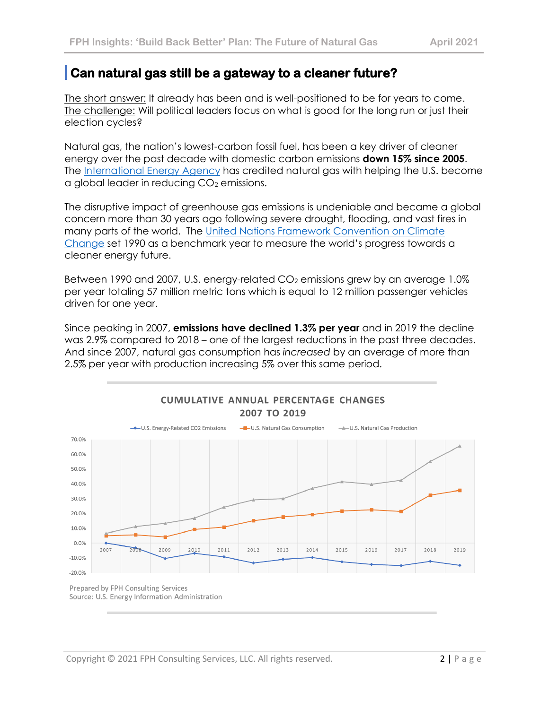# **Can natural gas still be a gateway to a cleaner future?**

The short answer: It already has been and is well-positioned to be for years to come. The challenge: Will political leaders focus on what is good for the long run or just their election cycles?

Natural gas, the nation's lowest-carbon fossil fuel, has been a key driver of cleaner energy over the past decade with domestic carbon emissions **down 15% since 2005**. The <u>International Energy Agency</u> has credited natural gas with helping the U.S. become  $\alpha$  global leader in reducing  $CO<sub>2</sub>$  emissions.

The disruptive impact of greenhouse gas emissions is undeniable and became a global concern more than 30 years ago following severe drought, flooding, and vast fires in many parts of the world. The [United Nations Framework Convention on Climate](https://unfccc.int/)  [Change](https://unfccc.int/) set 1990 as a benchmark year to measure the world's progress towards a cleaner energy future.

Between 1990 and 2007, U.S. energy-related CO<sub>2</sub> emissions grew by an average 1.0% per year totaling 57 million metric tons which is equal to 12 million passenger vehicles driven for one year.

Since peaking in 2007, **emissions have declined 1.3% per year** and in 2019 the decline was 2.9% compared to 2018 – one of the largest reductions in the past three decades. And since 2007, natural gas consumption has *increased* by an average of more than 2.5% per year with production increasing 5% over this same period.



Source: U.S. Energy Information Administration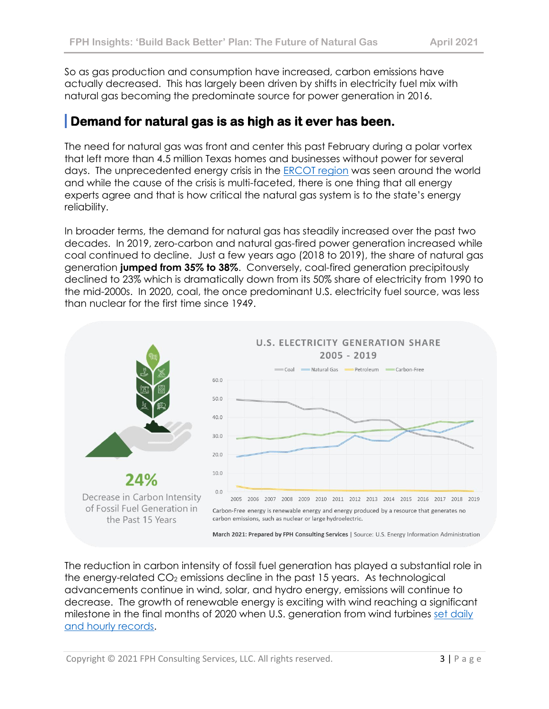So as gas production and consumption have increased, carbon emissions have actually decreased. This has largely been driven by shifts in electricity fuel mix with natural gas becoming the predominate source for power generation in 2016.

# **Demand for natural gas is as high as it ever has been.**

The need for natural gas was front and center this past February during a polar vortex that left more than 4.5 million Texas homes and businesses without power for several days. The unprecedented energy crisis in the **ERCOT region** was seen around the world and while the cause of the crisis is multi-faceted, there is one thing that all energy experts agree and that is how critical the natural gas system is to the state's energy reliability.

In broader terms, the demand for natural gas has steadily increased over the past two decades. In 2019, zero-carbon and natural gas-fired power generation increased while coal continued to decline. Just a few years ago (2018 to 2019), the share of natural gas generation **jumped from 35% to 38%**. Conversely, coal-fired generation precipitously declined to 23% which is dramatically down from its 50% share of electricity from 1990 to the mid-2000s. In 2020, coal, the once predominant U.S. electricity fuel source, was less than nuclear for the first time since 1949.



The reduction in carbon intensity of fossil fuel generation has played a substantial role in the energy-related  $CO<sub>2</sub>$  emissions decline in the past 15 years. As technological advancements continue in wind, solar, and hydro energy, emissions will continue to decrease. The growth of renewable energy is exciting with wind reaching a significant milestone in the final months of 2020 when U.S. generation from wind turbines [set daily](https://www.eia.gov/todayinenergy/detail.php?id=46617)  [and hourly records.](https://www.eia.gov/todayinenergy/detail.php?id=46617)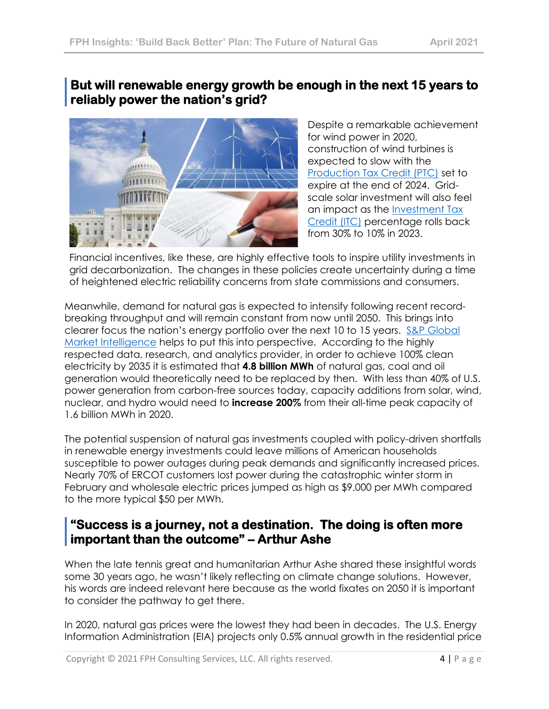### **But will renewable energy growth be enough in the next 15 years to reliably power the nation's grid?**



Despite a remarkable achievement for wind power in 2020, construction of wind turbines is expected to slow with the [Production Tax Credit \(PTC\)](https://www.eia.gov/todayinenergy/detail.php?id=46576#:~:text=At%20the%20end%20of%20December,of%20the%20full%20credit%20amount.) set to expire at the end of 2024. Gridscale solar investment will also feel an impact as the [Investment Tax](https://www.energysage.com/solar/cost-benefit/solar-investment-tax-credit/)  [Credit \(ITC\)](https://www.energysage.com/solar/cost-benefit/solar-investment-tax-credit/) percentage rolls back from 30% to 10% in 2023.

Financial incentives, like these, are highly effective tools to inspire utility investments in grid decarbonization. The changes in these policies create uncertainty during a time of heightened electric reliability concerns from state commissions and consumers.

Meanwhile, demand for natural gas is expected to intensify following recent recordbreaking throughput and will remain constant from now until 2050. This brings into clearer focus the nation's energy portfolio over the next 10 to 15 years. [S&P Global](https://www.spglobal.com/marketintelligence/en/?utm_source=google&utm_medium=cpc&utm_campaign=Brand_SP_Global_Market_Intelligence_Search_Google&utm_term=s%26p%20global%20market%20intelligence&utm_content=426489164531&_bt=426489164531&_bk=s%26p%20global%20market%20intelligence&_bm=e&_bn=g&_bg=59501541986&gclid=CjwKCAjwu5CDBhB9EiwA0w6sLWy4BqPSNAnxB2S6Bj1-VQg7l8d77ZNQrg_Np8OdmbRlfzl8n5xNIBoCy98QAvD_BwE)  [Market Intelligence](https://www.spglobal.com/marketintelligence/en/?utm_source=google&utm_medium=cpc&utm_campaign=Brand_SP_Global_Market_Intelligence_Search_Google&utm_term=s%26p%20global%20market%20intelligence&utm_content=426489164531&_bt=426489164531&_bk=s%26p%20global%20market%20intelligence&_bm=e&_bn=g&_bg=59501541986&gclid=CjwKCAjwu5CDBhB9EiwA0w6sLWy4BqPSNAnxB2S6Bj1-VQg7l8d77ZNQrg_Np8OdmbRlfzl8n5xNIBoCy98QAvD_BwE) helps to put this into perspective. According to the highly respected data, research, and analytics provider, in order to achieve 100% clean electricity by 2035 it is estimated that **4.8 billion MWh** of natural gas, coal and oil generation would theoretically need to be replaced by then. With less than 40% of U.S. power generation from carbon-free sources today, capacity additions from solar, wind, nuclear, and hydro would need to **increase 200%** from their all-time peak capacity of 1.6 billion MWh in 2020.

The potential suspension of natural gas investments coupled with policy-driven shortfalls in renewable energy investments could leave millions of American households susceptible to power outages during peak demands and significantly increased prices. Nearly 70% of ERCOT customers lost power during the catastrophic winter storm in February and wholesale electric prices jumped as high as \$9,000 per MWh compared to the more typical \$50 per MWh.

### **"Success is a journey, not a destination. The doing is often more important than the outcome" – Arthur Ashe**

When the late tennis great and humanitarian Arthur Ashe shared these insightful words some 30 years ago, he wasn't likely reflecting on climate change solutions. However, his words are indeed relevant here because as the world fixates on 2050 it is important to consider the pathway to get there.

In 2020, natural gas prices were the lowest they had been in decades. The U.S. Energy Information Administration (EIA) projects only 0.5% annual growth in the residential price